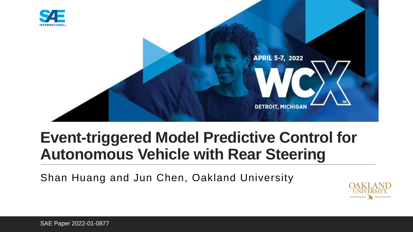

## **Event-triggered Model Predictive Control for Autonomous Vehicle with Rear Steering**

Shan Huang and Jun Chen, Oakland University

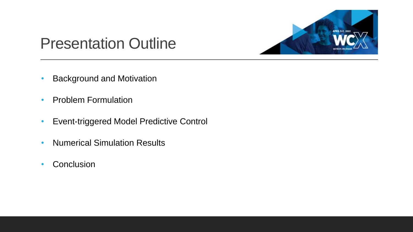

### Presentation Outline

- Background and Motivation
- Problem Formulation
- Event-triggered Model Predictive Control
- Numerical Simulation Results
- Conclusion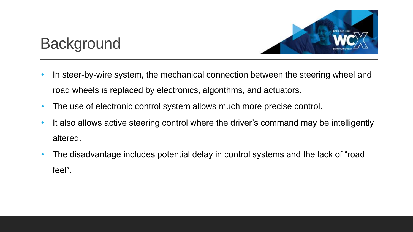

## **Background**

- In steer-by-wire system, the mechanical connection between the steering wheel and road wheels is replaced by electronics, algorithms, and actuators.
- The use of electronic control system allows much more precise control.
- It also allows active steering control where the driver's command may be intelligently altered.
- The disadvantage includes potential delay in control systems and the lack of "road feel".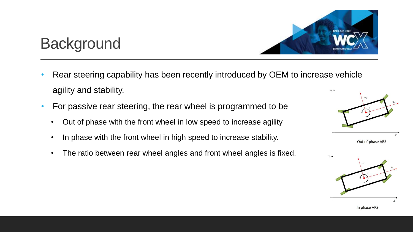

#### • Rear steering capability has been recently introduced by OEM to increase vehicle agility and stability.

• For passive rear steering, the rear wheel is programmed to be

**Background** 

- Out of phase with the front wheel in low speed to increase agility
- In phase with the front wheel in high speed to increase stability.
- The ratio between rear wheel angles and front wheel angles is fixed.



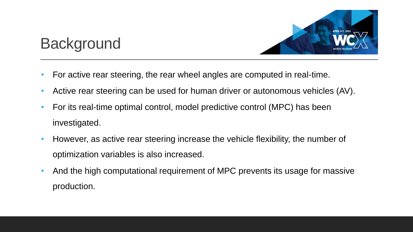

### **Background**

- For active rear steering, the rear wheel angles are computed in real-time.
- Active rear steering can be used for human driver or autonomous vehicles (AV).
- For its real-time optimal control, model predictive control (MPC) has been investigated.
- However, as active rear steering increase the vehicle flexibility, the number of optimization variables is also increased.
- And the high computational requirement of MPC prevents its usage for massive production.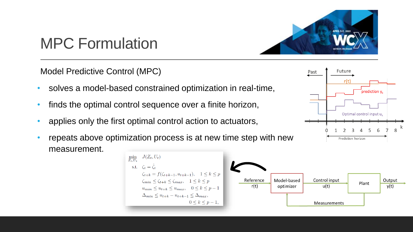

Past

Future

 $r(t)$ 

 $\mathbf{r}_{\text{prediction}\ \mathsf{V}_{\mathsf{L}}}$ 

6

Optimal control input u<sub>k</sub>

Prediction horizon

## MPC Formulation

Model Predictive Control (MPC)

- solves a model-based constrained optimization in real-time,
- finds the optimal control sequence over a finite horizon,
- applies only the first optimal control action to actuators,
- repeats above optimization process is at new time step with new measurement.

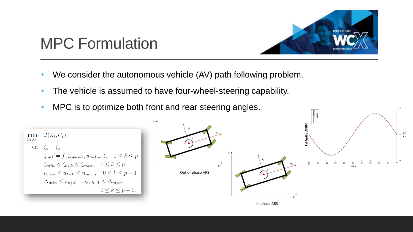

## MPC Formulation

- We consider the autonomous vehicle (AV) path following problem.
- The vehicle is assumed to have four-wheel-steering capability.
- MPC is to optimize both front and rear steering angles.

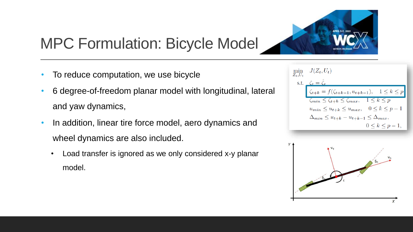

## MPC Formulation: Bicycle Model

- To reduce computation, we use bicycle
- 6 degree-of-freedom planar model with longitudinal, lateral and yaw dynamics,
- In addition, linear tire force model, aero dynamics and wheel dynamics are also included.
	- Load transfer is ignored as we only considered x-y planar model.

| $\min_{Z_t, U_t} \quad J(Z_t, U_t)$                                    |
|------------------------------------------------------------------------|
| s.t. $\zeta_t = \hat{\zeta}_t$                                         |
| $\zeta_{t+k} = f(\zeta_{t+k-1}, u_{t+k-1}), \quad 1 \leq k \leq p$     |
| $\zeta_{min} \leq \zeta_{t+k} \leq \zeta_{max}, \quad 1 \leq k \leq p$ |
| $u_{min} \leq u_{t+k} \leq u_{max}, \quad 0 \leq k \leq p-1$           |
| $\Delta_{min} \leq u_{t+k} - u_{t+k-1} \leq \Delta_{max},$             |
| $0 \leq k \leq p-1$ ,                                                  |

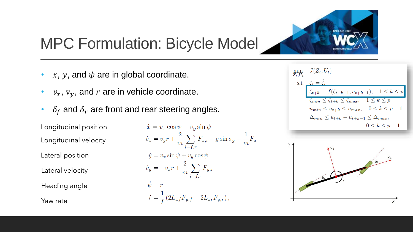#### MPC Formulation: Bicycle Model

- $x, y$ , and  $\psi$  are in global coordinate.
- $v_x$ ,  $v_y$ , and  $r$  are in vehicle coordinate.
- $\delta_f$  and  $\delta_r$  are front and rear steering angles.

Longitudinal position Longitudinal velocity Lateral velocity Lateral position Heading angle Yaw rate

$$
\begin{aligned}\n\dot{x} &= v_x \cos \psi - v_y \sin \psi \\
\dot{v}_x &= v_y r + \frac{2}{m} \sum_{i=f,r} F_{x,i} - g \sin \sigma_g - \frac{1}{m} F_a \\
\dot{y} &= v_x \sin \psi + v_y \cos \psi \\
\dot{v}_y &= -v_x r + \frac{2}{m} \sum_{i=f,r} F_{y,i} \\
\dot{\psi} &= r \\
\dot{r} &= \frac{1}{I} \left( 2L_{xf} F_{y,f} - 2L_{xr} F_{y,r} \right),\n\end{aligned}
$$

| $\min_{Z_t, U_t} \quad J(Z_t, U_t)$                                        |
|----------------------------------------------------------------------------|
| s.t. $\zeta_t = \hat{\zeta}_t$                                             |
| $\boxed{\zeta_{t+k} = f(\zeta_{t+k-1}, u_{t+k-1}), \quad 1 \leq k \leq p}$ |
| $\zeta_{min} \leq \zeta_{t+k} \leq \zeta_{max}, \quad 1 \leq k \leq p$     |
| $u_{min} \leq u_{t+k} \leq u_{max}, \quad 0 \leq k \leq p-1$               |
| $\Delta_{min} \leq u_{t+k} - u_{t+k-1} \leq \Delta_{max},$                 |
| $0 \leq k \leq p-1$ ,                                                      |



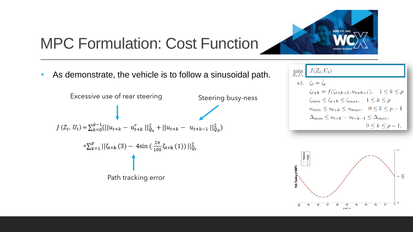

## MPC Formulation: Cost Function

• As demonstrate, the vehicle is to follow a sinusoidal path.



$$
\min_{Z_t, U_t} \left[ \begin{array}{c} J(Z_t, U_t) \\ \text{s.t.} \quad \zeta_t = \hat{\zeta}_t \\ \zeta_{t+k} = f(\zeta_{t+k-1}, u_{t+k-1}), \quad 1 \le k \le p \\ \zeta_{min} \le \zeta_{t+k} \le \zeta_{max}, \quad 1 \le k \le p \\ u_{min} \le u_{t+k} \le u_{max}, \quad 0 \le k \le p-1 \\ \Delta_{min} \le u_{t+k} - u_{t+k-1} \le \Delta_{max}, \\ 0 \le k \le p-1, \end{array} \right]
$$

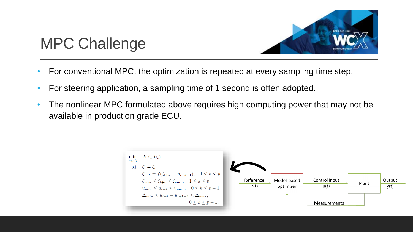

## MPC Challenge

- For conventional MPC, the optimization is repeated at every sampling time step.
- For steering application, a sampling time of 1 second is often adopted.
- The nonlinear MPC formulated above requires high computing power that may not be available in production grade ECU.

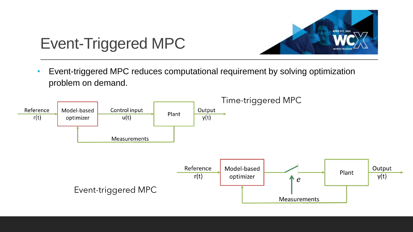

## Event-Triggered MPC

• Event-triggered MPC reduces computational requirement by solving optimization problem on demand.

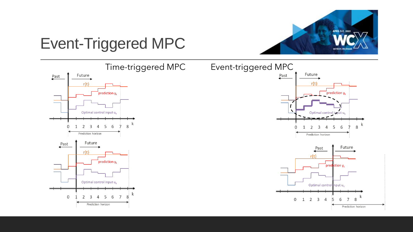

## Event-Triggered MPC

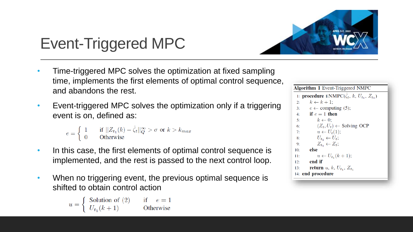

# Event-Triggered MPC

- Time-triggered MPC solves the optimization at fixed sampling time, implements the first elements of optimal control sequence, and abandons the rest.
- Event-triggered MPC solves the optimization only if a triggering event is on, defined as:

 $e = \begin{cases} 1 & \text{if } ||Z_{t_1}(k) - \hat{\zeta}_t||_{Q}^{\infty} > \sigma \text{ or } k > k_{max} \\ 0 & \text{Otherwise} \end{cases}$ 

- In this case, the first elements of optimal control sequence is implemented, and the rest is passed to the next control loop.
- When no triggering event, the previous optimal sequence is shifted to obtain control action

 $u = \begin{cases} \text{Solution of } (2) & \text{if } e = 1 \\ U_t, (k+1) & \text{Otherwise} \end{cases}$ 

Algorithm 1 Event-Triggered NMPC 1: **procedure** ENMPC( $\hat{\zeta}_t$ , k,  $U_{t_1}$ ,  $Z_{t_1}$ )  $k \leftarrow k + 1$ ;  $2:$  $e \leftarrow$  computing (5);  $3:$ if  $e=1$  then  $4:$  $k \leftarrow 0$ :  $5<sup>1</sup>$  $(Z_t, U_t) \leftarrow$  Solving OCP  $6:$  $u \leftarrow U_t(1);$  $7:$  $U_{t_1} \leftarrow U_t;$  $8:$  $Z_{t_1} \leftarrow Z_t$ ;  $9:$ else  $10:$  $u \leftarrow U_{t_1}(k+1);$  $11:$  $12:$ end if return u, k,  $U_{t_1}$ ,  $Z_{t_1}$  $13:$ 14: end procedure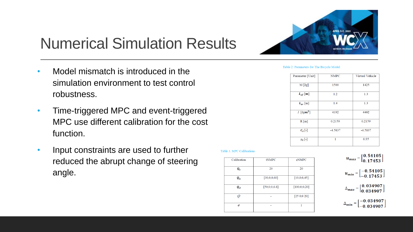

- Model mismatch is introduced in the simulation environment to test control robustness.
- Time-triggered MPC and event-triggered MPC use different calibration for the cost function.
- Input constraints are used to further reduced the abrupt change of steering angle.

#### Table 2. Parameters for The Bicycle Model

| <b>NMPC</b> | Virtual Vehicle |
|-------------|-----------------|
| 1500        | 1425            |
| 1.2         | 1.3             |
| 1.4         | 1.3             |
| 4192        | 4402            |
| 0.2159      | 0.2159          |
| $-4.5837$   | $-4.5837$       |
| 1           | 0.95            |
|             |                 |

#### Table 3. MPC Calibrations

| Calibration                       | tNMPC        | eNMPC           |
|-----------------------------------|--------------|-----------------|
| $\boldsymbol{q}_t$                | 20           | 20              |
| $\boldsymbol{Q}_{\boldsymbol{u}}$ | [30,0;0,60]  | [10,0;0,45]     |
| $\boldsymbol{Q}_{\boldsymbol{d}}$ | [50,0;0,6.8] | [100, 0; 0, 20] |
| ∩                                 |              | [250;020]       |
| σ                                 |              | 1               |

 $u_{max} = \begin{bmatrix} 0.54105 \\ 0.17453 \end{bmatrix}$  $u_{min} = \begin{bmatrix} -0.54105 \\ -0.17453 \end{bmatrix}$  $\Delta_{max} = \begin{bmatrix} 0.034907 \\ 0.034907 \end{bmatrix}$  $\Delta_{min} = \begin{bmatrix} -0.034907 \\ -0.034907 \end{bmatrix}$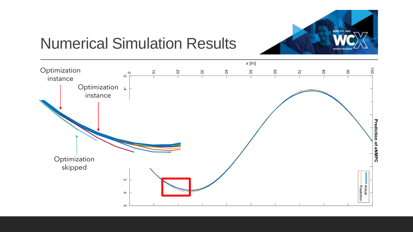

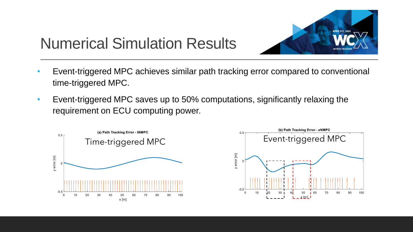

- Event-triggered MPC achieves similar path tracking error compared to conventional time-triggered MPC.
- Event-triggered MPC saves up to 50% computations, significantly relaxing the requirement on ECU computing power.



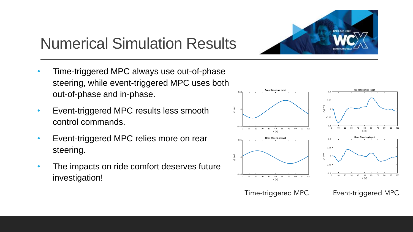

- Time-triggered MPC always use out-of-phase steering, while event-triggered MPC uses both out-of-phase and in-phase.
- Event-triggered MPC results less smooth control commands.
- Event-triggered MPC relies more on rear steering.
- The impacts on ride comfort deserves future investigation!

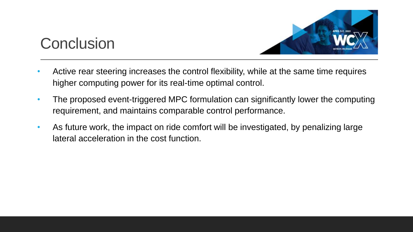

#### **Conclusion**

- Active rear steering increases the control flexibility, while at the same time requires higher computing power for its real-time optimal control.
- The proposed event-triggered MPC formulation can significantly lower the computing requirement, and maintains comparable control performance.
- As future work, the impact on ride comfort will be investigated, by penalizing large lateral acceleration in the cost function.